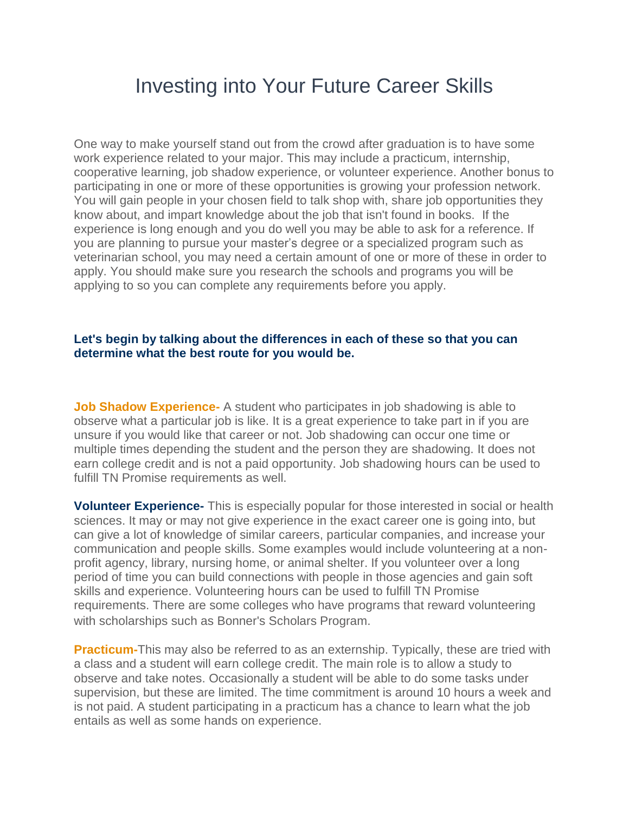## Investing into Your Future Career Skills

One way to make yourself stand out from the crowd after graduation is to have some work experience related to your major. This may include a practicum, internship, cooperative learning, job shadow experience, or volunteer experience. Another bonus to participating in one or more of these opportunities is growing your profession network. You will gain people in your chosen field to talk shop with, share job opportunities they know about, and impart knowledge about the job that isn't found in books. If the experience is long enough and you do well you may be able to ask for a reference. If you are planning to pursue your master's degree or a specialized program such as veterinarian school, you may need a certain amount of one or more of these in order to apply. You should make sure you research the schools and programs you will be applying to so you can complete any requirements before you apply.

## **Let's begin by talking about the differences in each of these so that you can determine what the best route for you would be.**

**Job Shadow Experience-** A student who participates in job shadowing is able to observe what a particular job is like. It is a great experience to take part in if you are unsure if you would like that career or not. Job shadowing can occur one time or multiple times depending the student and the person they are shadowing. It does not earn college credit and is not a paid opportunity. Job shadowing hours can be used to fulfill TN Promise requirements as well.

**Volunteer Experience-** This is especially popular for those interested in social or health sciences. It may or may not give experience in the exact career one is going into, but can give a lot of knowledge of similar careers, particular companies, and increase your communication and people skills. Some examples would include volunteering at a nonprofit agency, library, nursing home, or animal shelter. If you volunteer over a long period of time you can build connections with people in those agencies and gain soft skills and experience. Volunteering hours can be used to fulfill TN Promise requirements. There are some colleges who have programs that reward volunteering with scholarships such as Bonner's Scholars Program.

**Practicum-**This may also be referred to as an externship. Typically, these are tried with a class and a student will earn college credit. The main role is to allow a study to observe and take notes. Occasionally a student will be able to do some tasks under supervision, but these are limited. The time commitment is around 10 hours a week and is not paid. A student participating in a practicum has a chance to learn what the job entails as well as some hands on experience.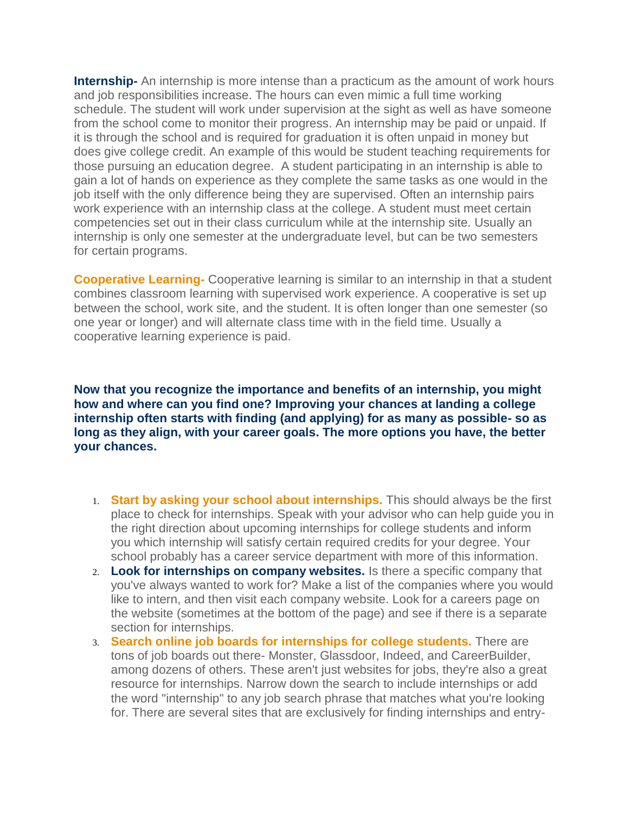**Internship-** An internship is more intense than a practicum as the amount of work hours and job responsibilities increase. The hours can even mimic a full time working schedule. The student will work under supervision at the sight as well as have someone from the school come to monitor their progress. An internship may be paid or unpaid. If it is through the school and is required for graduation it is often unpaid in money but does give college credit. An example of this would be student teaching requirements for those pursuing an education degree. A student participating in an internship is able to gain a lot of hands on experience as they complete the same tasks as one would in the job itself with the only difference being they are supervised. Often an internship pairs work experience with an internship class at the college. A student must meet certain competencies set out in their class curriculum while at the internship site. Usually an internship is only one semester at the undergraduate level, but can be two semesters for certain programs.

**Cooperative Learning-** Cooperative learning is similar to an internship in that a student combines classroom learning with supervised work experience. A cooperative is set up between the school, work site, and the student. It is often longer than one semester (so one year or longer) and will alternate class time with in the field time. Usually a cooperative learning experience is paid.

**Now that you recognize the importance and benefits of an internship, you might how and where can you find one? Improving your chances at landing a college internship often starts with finding (and applying) for as many as possible- so as long as they align, with your career goals. The more options you have, the better your chances.**

- 1. **Start by asking your school about internships.** This should always be the first place to check for internships. Speak with your advisor who can help guide you in the right direction about upcoming internships for college students and inform you which internship will satisfy certain required credits for your degree. Your school probably has a career service department with more of this information.
- 2. **Look for internships on company websites.** Is there a specific company that you've always wanted to work for? Make a list of the companies where you would like to intern, and then visit each company website. Look for a careers page on the website (sometimes at the bottom of the page) and see if there is a separate section for internships.
- 3. **Search online job boards for internships for college students.** There are tons of job boards out there- Monster, Glassdoor, Indeed, and CareerBuilder, among dozens of others. These aren't just websites for jobs, they're also a great resource for internships. Narrow down the search to include internships or add the word "internship" to any job search phrase that matches what you're looking for. There are several sites that are exclusively for finding internships and entry-